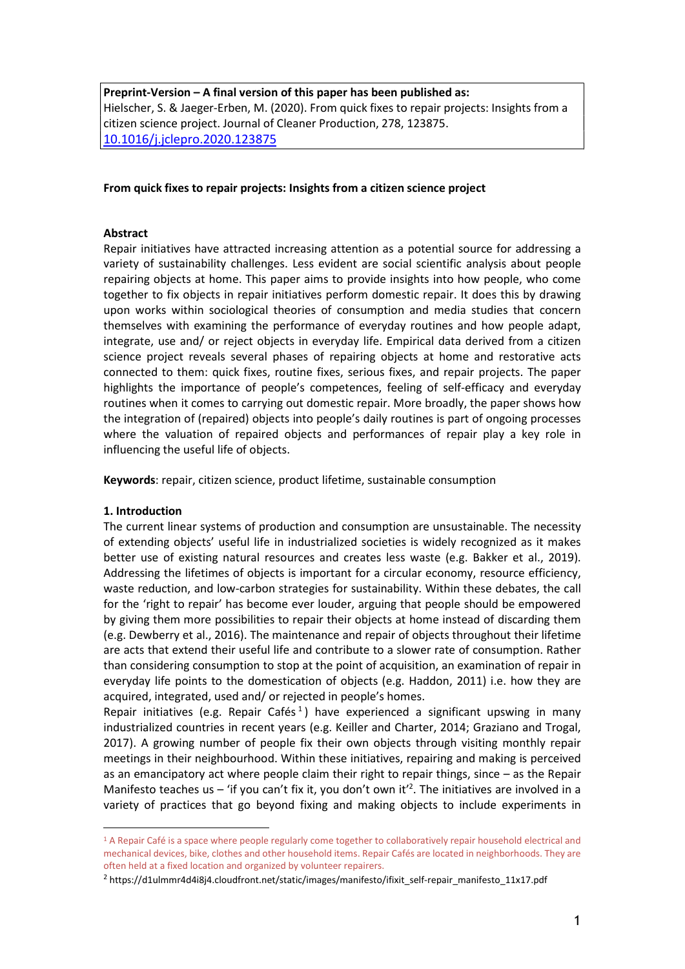Preprint-Version – A final version of this paper has been published as: Hielscher, S. & Jaeger-Erben, M. (2020). From quick fixes to repair projects: Insights from a citizen science project. Journal of Cleaner Production, 278, 123875. 10.1016/j.jclepro.2020.123875

#### From quick fixes to repair projects: Insights from a citizen science project

#### Abstract

Repair initiatives have attracted increasing attention as a potential source for addressing a variety of sustainability challenges. Less evident are social scientific analysis about people repairing objects at home. This paper aims to provide insights into how people, who come together to fix objects in repair initiatives perform domestic repair. It does this by drawing upon works within sociological theories of consumption and media studies that concern themselves with examining the performance of everyday routines and how people adapt, integrate, use and/ or reject objects in everyday life. Empirical data derived from a citizen science project reveals several phases of repairing objects at home and restorative acts connected to them: quick fixes, routine fixes, serious fixes, and repair projects. The paper highlights the importance of people's competences, feeling of self-efficacy and everyday routines when it comes to carrying out domestic repair. More broadly, the paper shows how the integration of (repaired) objects into people's daily routines is part of ongoing processes where the valuation of repaired objects and performances of repair play a key role in influencing the useful life of objects.

Keywords: repair, citizen science, product lifetime, sustainable consumption

#### 1. Introduction

The current linear systems of production and consumption are unsustainable. The necessity of extending objects' useful life in industrialized societies is widely recognized as it makes better use of existing natural resources and creates less waste (e.g. Bakker et al., 2019). Addressing the lifetimes of objects is important for a circular economy, resource efficiency, waste reduction, and low-carbon strategies for sustainability. Within these debates, the call for the 'right to repair' has become ever louder, arguing that people should be empowered by giving them more possibilities to repair their objects at home instead of discarding them (e.g. Dewberry et al., 2016). The maintenance and repair of objects throughout their lifetime are acts that extend their useful life and contribute to a slower rate of consumption. Rather than considering consumption to stop at the point of acquisition, an examination of repair in everyday life points to the domestication of objects (e.g. Haddon, 2011) i.e. how they are acquired, integrated, used and/ or rejected in people's homes.

Repair initiatives (e.g. Repair Cafés<sup>1</sup>) have experienced a significant upswing in many industrialized countries in recent years (e.g. Keiller and Charter, 2014; Graziano and Trogal, 2017). A growing number of people fix their own objects through visiting monthly repair meetings in their neighbourhood. Within these initiatives, repairing and making is perceived as an emancipatory act where people claim their right to repair things, since – as the Repair Manifesto teaches us  $-$  'if you can't fix it, you don't own it<sup>'2</sup>. The initiatives are involved in a variety of practices that go beyond fixing and making objects to include experiments in

<sup>&</sup>lt;sup>1</sup> A Repair Café is a space where people regularly come together to collaboratively repair household electrical and mechanical devices, bike, clothes and other household items. Repair Cafés are located in neighborhoods. They are often held at a fixed location and organized by volunteer repairers.

<sup>&</sup>lt;sup>2</sup> https://d1ulmmr4d4i8j4.cloudfront.net/static/images/manifesto/ifixit\_self-repair\_manifesto\_11x17.pdf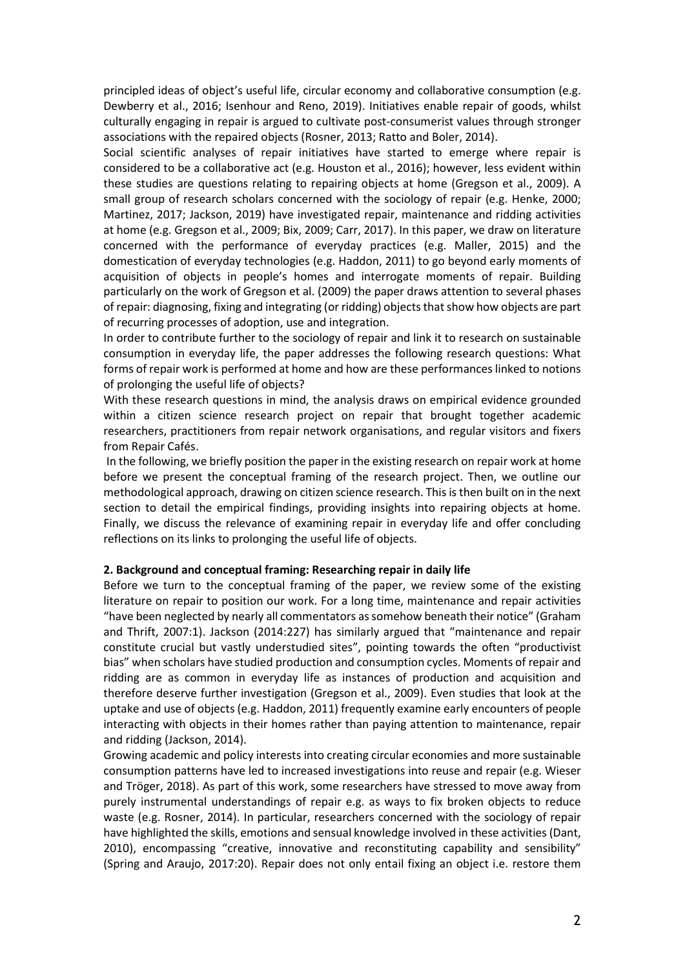principled ideas of object's useful life, circular economy and collaborative consumption (e.g. Dewberry et al., 2016; Isenhour and Reno, 2019). Initiatives enable repair of goods, whilst culturally engaging in repair is argued to cultivate post-consumerist values through stronger associations with the repaired objects (Rosner, 2013; Ratto and Boler, 2014).

Social scientific analyses of repair initiatives have started to emerge where repair is considered to be a collaborative act (e.g. Houston et al., 2016); however, less evident within these studies are questions relating to repairing objects at home (Gregson et al., 2009). A small group of research scholars concerned with the sociology of repair (e.g. Henke, 2000; Martinez, 2017; Jackson, 2019) have investigated repair, maintenance and ridding activities at home (e.g. Gregson et al., 2009; Bix, 2009; Carr, 2017). In this paper, we draw on literature concerned with the performance of everyday practices (e.g. Maller, 2015) and the domestication of everyday technologies (e.g. Haddon, 2011) to go beyond early moments of acquisition of objects in people's homes and interrogate moments of repair. Building particularly on the work of Gregson et al. (2009) the paper draws attention to several phases of repair: diagnosing, fixing and integrating (or ridding) objects that show how objects are part of recurring processes of adoption, use and integration.

In order to contribute further to the sociology of repair and link it to research on sustainable consumption in everyday life, the paper addresses the following research questions: What forms of repair work is performed at home and how are these performances linked to notions of prolonging the useful life of objects?

With these research questions in mind, the analysis draws on empirical evidence grounded within a citizen science research project on repair that brought together academic researchers, practitioners from repair network organisations, and regular visitors and fixers from Repair Cafés.

 In the following, we briefly position the paper in the existing research on repair work at home before we present the conceptual framing of the research project. Then, we outline our methodological approach, drawing on citizen science research. This is then built on in the next section to detail the empirical findings, providing insights into repairing objects at home. Finally, we discuss the relevance of examining repair in everyday life and offer concluding reflections on its links to prolonging the useful life of objects.

#### 2. Background and conceptual framing: Researching repair in daily life

Before we turn to the conceptual framing of the paper, we review some of the existing literature on repair to position our work. For a long time, maintenance and repair activities "have been neglected by nearly all commentators as somehow beneath their notice" (Graham and Thrift, 2007:1). Jackson (2014:227) has similarly argued that "maintenance and repair constitute crucial but vastly understudied sites", pointing towards the often "productivist bias" when scholars have studied production and consumption cycles. Moments of repair and ridding are as common in everyday life as instances of production and acquisition and therefore deserve further investigation (Gregson et al., 2009). Even studies that look at the uptake and use of objects (e.g. Haddon, 2011) frequently examine early encounters of people interacting with objects in their homes rather than paying attention to maintenance, repair and ridding (Jackson, 2014).

Growing academic and policy interests into creating circular economies and more sustainable consumption patterns have led to increased investigations into reuse and repair (e.g. Wieser and Tröger, 2018). As part of this work, some researchers have stressed to move away from purely instrumental understandings of repair e.g. as ways to fix broken objects to reduce waste (e.g. Rosner, 2014). In particular, researchers concerned with the sociology of repair have highlighted the skills, emotions and sensual knowledge involved in these activities (Dant, 2010), encompassing "creative, innovative and reconstituting capability and sensibility" (Spring and Araujo, 2017:20). Repair does not only entail fixing an object i.e. restore them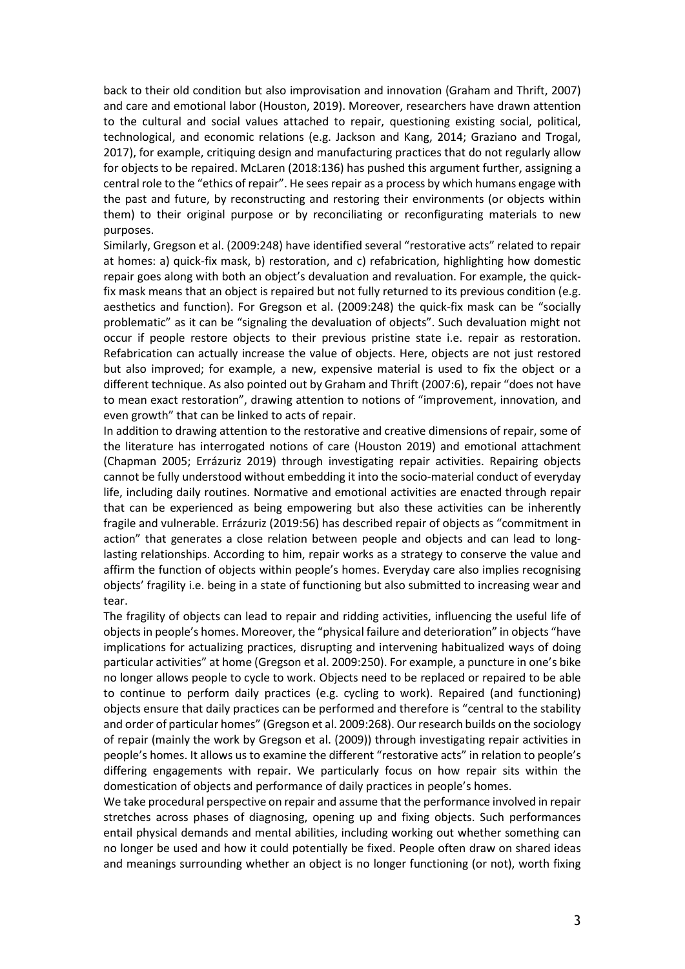back to their old condition but also improvisation and innovation (Graham and Thrift, 2007) and care and emotional labor (Houston, 2019). Moreover, researchers have drawn attention to the cultural and social values attached to repair, questioning existing social, political, technological, and economic relations (e.g. Jackson and Kang, 2014; Graziano and Trogal, 2017), for example, critiquing design and manufacturing practices that do not regularly allow for objects to be repaired. McLaren (2018:136) has pushed this argument further, assigning a central role to the "ethics of repair". He sees repair as a process by which humans engage with the past and future, by reconstructing and restoring their environments (or objects within them) to their original purpose or by reconciliating or reconfigurating materials to new purposes.

Similarly, Gregson et al. (2009:248) have identified several "restorative acts" related to repair at homes: a) quick-fix mask, b) restoration, and c) refabrication, highlighting how domestic repair goes along with both an object's devaluation and revaluation. For example, the quickfix mask means that an object is repaired but not fully returned to its previous condition (e.g. aesthetics and function). For Gregson et al. (2009:248) the quick-fix mask can be "socially problematic" as it can be "signaling the devaluation of objects". Such devaluation might not occur if people restore objects to their previous pristine state i.e. repair as restoration. Refabrication can actually increase the value of objects. Here, objects are not just restored but also improved; for example, a new, expensive material is used to fix the object or a different technique. As also pointed out by Graham and Thrift (2007:6), repair "does not have to mean exact restoration", drawing attention to notions of "improvement, innovation, and even growth" that can be linked to acts of repair.

In addition to drawing attention to the restorative and creative dimensions of repair, some of the literature has interrogated notions of care (Houston 2019) and emotional attachment (Chapman 2005; Errázuriz 2019) through investigating repair activities. Repairing objects cannot be fully understood without embedding it into the socio-material conduct of everyday life, including daily routines. Normative and emotional activities are enacted through repair that can be experienced as being empowering but also these activities can be inherently fragile and vulnerable. Errázuriz (2019:56) has described repair of objects as "commitment in action" that generates a close relation between people and objects and can lead to longlasting relationships. According to him, repair works as a strategy to conserve the value and affirm the function of objects within people's homes. Everyday care also implies recognising objects' fragility i.e. being in a state of functioning but also submitted to increasing wear and tear.

The fragility of objects can lead to repair and ridding activities, influencing the useful life of objects in people's homes. Moreover, the "physical failure and deterioration" in objects "have implications for actualizing practices, disrupting and intervening habitualized ways of doing particular activities" at home (Gregson et al. 2009:250). For example, a puncture in one's bike no longer allows people to cycle to work. Objects need to be replaced or repaired to be able to continue to perform daily practices (e.g. cycling to work). Repaired (and functioning) objects ensure that daily practices can be performed and therefore is "central to the stability and order of particular homes" (Gregson et al. 2009:268). Our research builds on the sociology of repair (mainly the work by Gregson et al. (2009)) through investigating repair activities in people's homes. It allows us to examine the different "restorative acts" in relation to people's differing engagements with repair. We particularly focus on how repair sits within the domestication of objects and performance of daily practices in people's homes.

We take procedural perspective on repair and assume that the performance involved in repair stretches across phases of diagnosing, opening up and fixing objects. Such performances entail physical demands and mental abilities, including working out whether something can no longer be used and how it could potentially be fixed. People often draw on shared ideas and meanings surrounding whether an object is no longer functioning (or not), worth fixing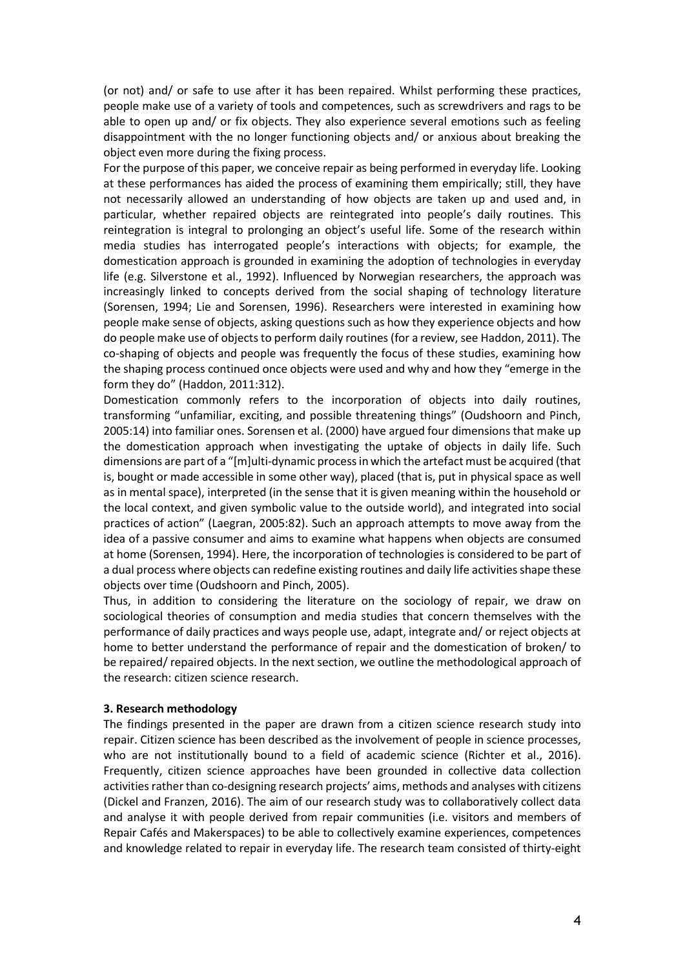(or not) and/ or safe to use after it has been repaired. Whilst performing these practices, people make use of a variety of tools and competences, such as screwdrivers and rags to be able to open up and/ or fix objects. They also experience several emotions such as feeling disappointment with the no longer functioning objects and/ or anxious about breaking the object even more during the fixing process.

For the purpose of this paper, we conceive repair as being performed in everyday life. Looking at these performances has aided the process of examining them empirically; still, they have not necessarily allowed an understanding of how objects are taken up and used and, in particular, whether repaired objects are reintegrated into people's daily routines. This reintegration is integral to prolonging an object's useful life. Some of the research within media studies has interrogated people's interactions with objects; for example, the domestication approach is grounded in examining the adoption of technologies in everyday life (e.g. Silverstone et al., 1992). Influenced by Norwegian researchers, the approach was increasingly linked to concepts derived from the social shaping of technology literature (Sorensen, 1994; Lie and Sorensen, 1996). Researchers were interested in examining how people make sense of objects, asking questions such as how they experience objects and how do people make use of objects to perform daily routines (for a review, see Haddon, 2011). The co-shaping of objects and people was frequently the focus of these studies, examining how the shaping process continued once objects were used and why and how they "emerge in the form they do" (Haddon, 2011:312).

Domestication commonly refers to the incorporation of objects into daily routines, transforming "unfamiliar, exciting, and possible threatening things" (Oudshoorn and Pinch, 2005:14) into familiar ones. Sorensen et al. (2000) have argued four dimensions that make up the domestication approach when investigating the uptake of objects in daily life. Such dimensions are part of a "[m]ulti-dynamic process in which the artefact must be acquired (that is, bought or made accessible in some other way), placed (that is, put in physical space as well as in mental space), interpreted (in the sense that it is given meaning within the household or the local context, and given symbolic value to the outside world), and integrated into social practices of action" (Laegran, 2005:82). Such an approach attempts to move away from the idea of a passive consumer and aims to examine what happens when objects are consumed at home (Sorensen, 1994). Here, the incorporation of technologies is considered to be part of a dual process where objects can redefine existing routines and daily life activities shape these objects over time (Oudshoorn and Pinch, 2005).

Thus, in addition to considering the literature on the sociology of repair, we draw on sociological theories of consumption and media studies that concern themselves with the performance of daily practices and ways people use, adapt, integrate and/ or reject objects at home to better understand the performance of repair and the domestication of broken/ to be repaired/ repaired objects. In the next section, we outline the methodological approach of the research: citizen science research.

### 3. Research methodology

The findings presented in the paper are drawn from a citizen science research study into repair. Citizen science has been described as the involvement of people in science processes, who are not institutionally bound to a field of academic science (Richter et al., 2016). Frequently, citizen science approaches have been grounded in collective data collection activities rather than co-designing research projects' aims, methods and analyses with citizens (Dickel and Franzen, 2016). The aim of our research study was to collaboratively collect data and analyse it with people derived from repair communities (i.e. visitors and members of Repair Cafés and Makerspaces) to be able to collectively examine experiences, competences and knowledge related to repair in everyday life. The research team consisted of thirty-eight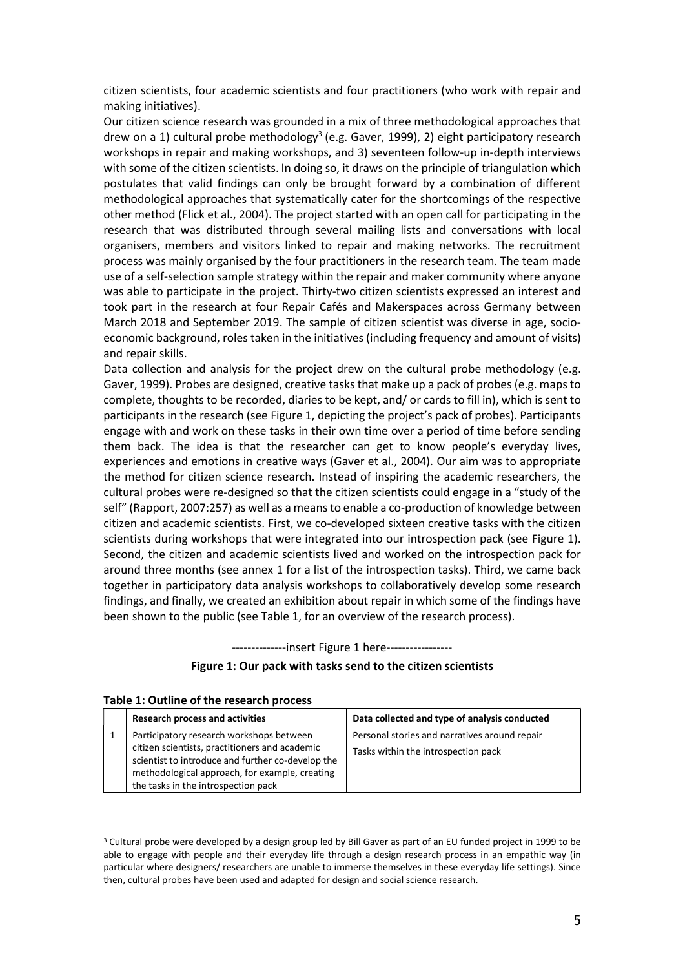citizen scientists, four academic scientists and four practitioners (who work with repair and making initiatives).

Our citizen science research was grounded in a mix of three methodological approaches that drew on a 1) cultural probe methodology<sup>3</sup> (e.g. Gaver, 1999), 2) eight participatory research workshops in repair and making workshops, and 3) seventeen follow-up in-depth interviews with some of the citizen scientists. In doing so, it draws on the principle of triangulation which postulates that valid findings can only be brought forward by a combination of different methodological approaches that systematically cater for the shortcomings of the respective other method (Flick et al., 2004). The project started with an open call for participating in the research that was distributed through several mailing lists and conversations with local organisers, members and visitors linked to repair and making networks. The recruitment process was mainly organised by the four practitioners in the research team. The team made use of a self-selection sample strategy within the repair and maker community where anyone was able to participate in the project. Thirty-two citizen scientists expressed an interest and took part in the research at four Repair Cafés and Makerspaces across Germany between March 2018 and September 2019. The sample of citizen scientist was diverse in age, socioeconomic background, roles taken in the initiatives (including frequency and amount of visits) and repair skills.

Data collection and analysis for the project drew on the cultural probe methodology (e.g. Gaver, 1999). Probes are designed, creative tasks that make up a pack of probes (e.g. maps to complete, thoughts to be recorded, diaries to be kept, and/ or cards to fill in), which is sent to participants in the research (see Figure 1, depicting the project's pack of probes). Participants engage with and work on these tasks in their own time over a period of time before sending them back. The idea is that the researcher can get to know people's everyday lives, experiences and emotions in creative ways (Gaver et al., 2004). Our aim was to appropriate the method for citizen science research. Instead of inspiring the academic researchers, the cultural probes were re-designed so that the citizen scientists could engage in a "study of the self" (Rapport, 2007:257) as well as a means to enable a co-production of knowledge between citizen and academic scientists. First, we co-developed sixteen creative tasks with the citizen scientists during workshops that were integrated into our introspection pack (see Figure 1). Second, the citizen and academic scientists lived and worked on the introspection pack for around three months (see annex 1 for a list of the introspection tasks). Third, we came back together in participatory data analysis workshops to collaboratively develop some research findings, and finally, we created an exhibition about repair in which some of the findings have been shown to the public (see Table 1, for an overview of the research process).

--------------insert Figure 1 here-----------------

### Figure 1: Our pack with tasks send to the citizen scientists

| <b>Research process and activities</b>                                                                                                                                                                                                   | Data collected and type of analysis conducted                                        |
|------------------------------------------------------------------------------------------------------------------------------------------------------------------------------------------------------------------------------------------|--------------------------------------------------------------------------------------|
| Participatory research workshops between<br>citizen scientists, practitioners and academic<br>scientist to introduce and further co-develop the<br>methodological approach, for example, creating<br>the tasks in the introspection pack | Personal stories and narratives around repair<br>Tasks within the introspection pack |

#### Table 1: Outline of the research process

<sup>&</sup>lt;sup>3</sup> Cultural probe were developed by a design group led by Bill Gaver as part of an EU funded project in 1999 to be able to engage with people and their everyday life through a design research process in an empathic way (in particular where designers/ researchers are unable to immerse themselves in these everyday life settings). Since then, cultural probes have been used and adapted for design and social science research.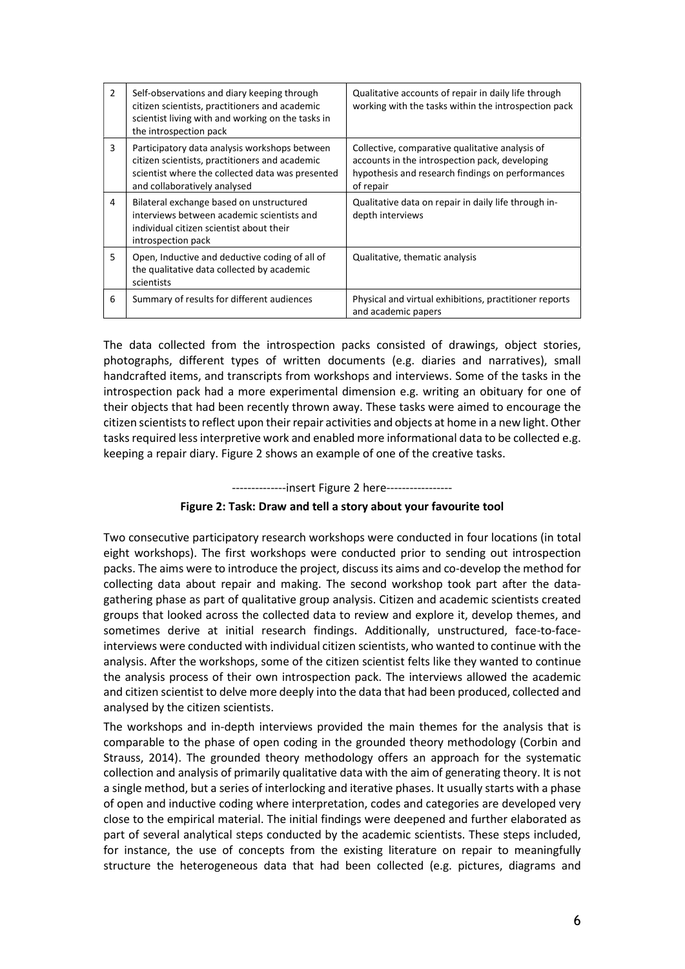| $\overline{2}$ | Self-observations and diary keeping through<br>citizen scientists, practitioners and academic<br>scientist living with and working on the tasks in<br>the introspection pack        | Qualitative accounts of repair in daily life through<br>working with the tasks within the introspection pack                                                       |
|----------------|-------------------------------------------------------------------------------------------------------------------------------------------------------------------------------------|--------------------------------------------------------------------------------------------------------------------------------------------------------------------|
| 3              | Participatory data analysis workshops between<br>citizen scientists, practitioners and academic<br>scientist where the collected data was presented<br>and collaboratively analysed | Collective, comparative qualitative analysis of<br>accounts in the introspection pack, developing<br>hypothesis and research findings on performances<br>of repair |
| 4              | Bilateral exchange based on unstructured<br>interviews between academic scientists and<br>individual citizen scientist about their<br>introspection pack                            | Qualitative data on repair in daily life through in-<br>depth interviews                                                                                           |
| 5.             | Open, Inductive and deductive coding of all of<br>the qualitative data collected by academic<br>scientists                                                                          | Qualitative, thematic analysis                                                                                                                                     |
| 6              | Summary of results for different audiences                                                                                                                                          | Physical and virtual exhibitions, practitioner reports<br>and academic papers                                                                                      |

The data collected from the introspection packs consisted of drawings, object stories, photographs, different types of written documents (e.g. diaries and narratives), small handcrafted items, and transcripts from workshops and interviews. Some of the tasks in the introspection pack had a more experimental dimension e.g. writing an obituary for one of their objects that had been recently thrown away. These tasks were aimed to encourage the citizen scientists to reflect upon their repair activities and objects at home in a new light. Other tasks required less interpretive work and enabled more informational data to be collected e.g. keeping a repair diary. Figure 2 shows an example of one of the creative tasks.

--------------insert Figure 2 here-----------------

### Figure 2: Task: Draw and tell a story about your favourite tool

Two consecutive participatory research workshops were conducted in four locations (in total eight workshops). The first workshops were conducted prior to sending out introspection packs. The aims were to introduce the project, discuss its aims and co-develop the method for collecting data about repair and making. The second workshop took part after the datagathering phase as part of qualitative group analysis. Citizen and academic scientists created groups that looked across the collected data to review and explore it, develop themes, and sometimes derive at initial research findings. Additionally, unstructured, face-to-faceinterviews were conducted with individual citizen scientists, who wanted to continue with the analysis. After the workshops, some of the citizen scientist felts like they wanted to continue the analysis process of their own introspection pack. The interviews allowed the academic and citizen scientist to delve more deeply into the data that had been produced, collected and analysed by the citizen scientists.

The workshops and in-depth interviews provided the main themes for the analysis that is comparable to the phase of open coding in the grounded theory methodology (Corbin and Strauss, 2014). The grounded theory methodology offers an approach for the systematic collection and analysis of primarily qualitative data with the aim of generating theory. It is not a single method, but a series of interlocking and iterative phases. It usually starts with a phase of open and inductive coding where interpretation, codes and categories are developed very close to the empirical material. The initial findings were deepened and further elaborated as part of several analytical steps conducted by the academic scientists. These steps included, for instance, the use of concepts from the existing literature on repair to meaningfully structure the heterogeneous data that had been collected (e.g. pictures, diagrams and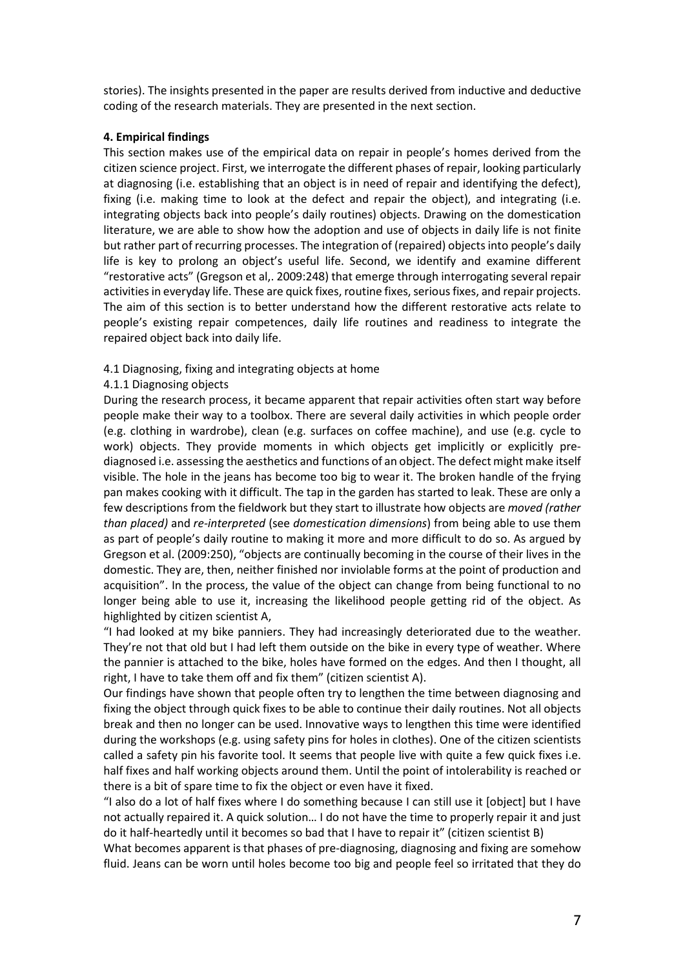stories). The insights presented in the paper are results derived from inductive and deductive coding of the research materials. They are presented in the next section.

### 4. Empirical findings

This section makes use of the empirical data on repair in people's homes derived from the citizen science project. First, we interrogate the different phases of repair, looking particularly at diagnosing (i.e. establishing that an object is in need of repair and identifying the defect), fixing (i.e. making time to look at the defect and repair the object), and integrating (i.e. integrating objects back into people's daily routines) objects. Drawing on the domestication literature, we are able to show how the adoption and use of objects in daily life is not finite but rather part of recurring processes. The integration of (repaired) objects into people's daily life is key to prolong an object's useful life. Second, we identify and examine different "restorative acts" (Gregson et al,. 2009:248) that emerge through interrogating several repair activities in everyday life. These are quick fixes, routine fixes, serious fixes, and repair projects. The aim of this section is to better understand how the different restorative acts relate to people's existing repair competences, daily life routines and readiness to integrate the repaired object back into daily life.

# 4.1 Diagnosing, fixing and integrating objects at home

# 4.1.1 Diagnosing objects

During the research process, it became apparent that repair activities often start way before people make their way to a toolbox. There are several daily activities in which people order (e.g. clothing in wardrobe), clean (e.g. surfaces on coffee machine), and use (e.g. cycle to work) objects. They provide moments in which objects get implicitly or explicitly prediagnosed i.e. assessing the aesthetics and functions of an object. The defect might make itself visible. The hole in the jeans has become too big to wear it. The broken handle of the frying pan makes cooking with it difficult. The tap in the garden has started to leak. These are only a few descriptions from the fieldwork but they start to illustrate how objects are moved (rather than placed) and re-interpreted (see domestication dimensions) from being able to use them as part of people's daily routine to making it more and more difficult to do so. As argued by Gregson et al. (2009:250), "objects are continually becoming in the course of their lives in the domestic. They are, then, neither finished nor inviolable forms at the point of production and acquisition". In the process, the value of the object can change from being functional to no longer being able to use it, increasing the likelihood people getting rid of the object. As highlighted by citizen scientist A,

"I had looked at my bike panniers. They had increasingly deteriorated due to the weather. They're not that old but I had left them outside on the bike in every type of weather. Where the pannier is attached to the bike, holes have formed on the edges. And then I thought, all right, I have to take them off and fix them" (citizen scientist A).

Our findings have shown that people often try to lengthen the time between diagnosing and fixing the object through quick fixes to be able to continue their daily routines. Not all objects break and then no longer can be used. Innovative ways to lengthen this time were identified during the workshops (e.g. using safety pins for holes in clothes). One of the citizen scientists called a safety pin his favorite tool. It seems that people live with quite a few quick fixes i.e. half fixes and half working objects around them. Until the point of intolerability is reached or there is a bit of spare time to fix the object or even have it fixed.

"I also do a lot of half fixes where I do something because I can still use it [object] but I have not actually repaired it. A quick solution… I do not have the time to properly repair it and just do it half-heartedly until it becomes so bad that I have to repair it" (citizen scientist B)

What becomes apparent is that phases of pre-diagnosing, diagnosing and fixing are somehow fluid. Jeans can be worn until holes become too big and people feel so irritated that they do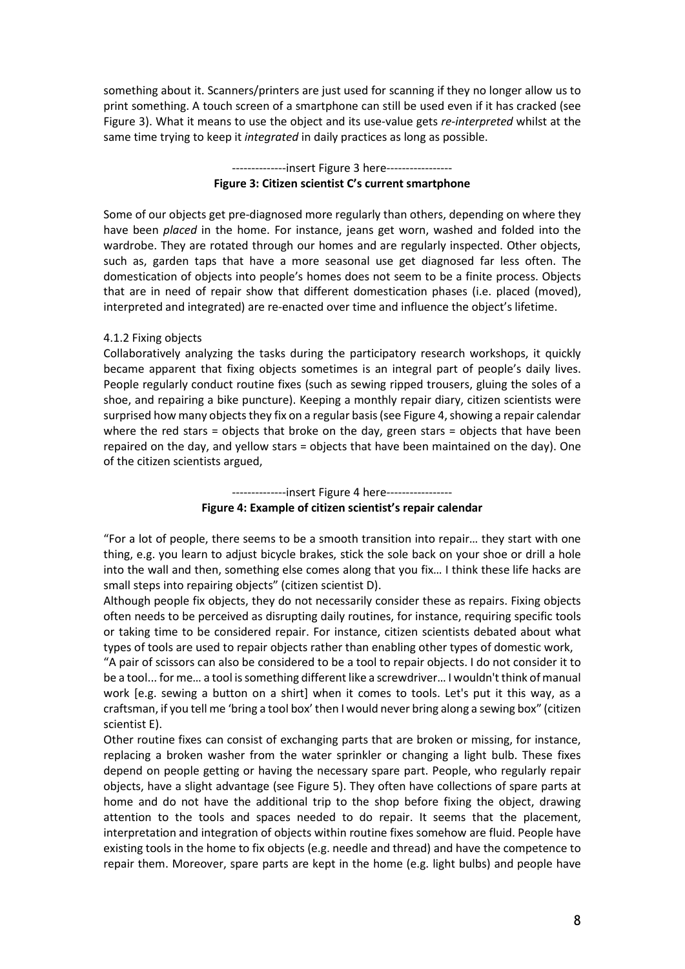something about it. Scanners/printers are just used for scanning if they no longer allow us to print something. A touch screen of a smartphone can still be used even if it has cracked (see Figure 3). What it means to use the object and its use-value gets re-interpreted whilst at the same time trying to keep it integrated in daily practices as long as possible.

### --------------insert Figure 3 here----------------- Figure 3: Citizen scientist C's current smartphone

Some of our objects get pre-diagnosed more regularly than others, depending on where they have been *placed* in the home. For instance, jeans get worn, washed and folded into the wardrobe. They are rotated through our homes and are regularly inspected. Other objects, such as, garden taps that have a more seasonal use get diagnosed far less often. The domestication of objects into people's homes does not seem to be a finite process. Objects that are in need of repair show that different domestication phases (i.e. placed (moved), interpreted and integrated) are re-enacted over time and influence the object's lifetime.

# 4.1.2 Fixing objects

Collaboratively analyzing the tasks during the participatory research workshops, it quickly became apparent that fixing objects sometimes is an integral part of people's daily lives. People regularly conduct routine fixes (such as sewing ripped trousers, gluing the soles of a shoe, and repairing a bike puncture). Keeping a monthly repair diary, citizen scientists were surprised how many objects they fix on a regular basis (see Figure 4, showing a repair calendar where the red stars = objects that broke on the day, green stars = objects that have been repaired on the day, and yellow stars = objects that have been maintained on the day). One of the citizen scientists argued,

### ---------------insert Figure 4 here-----------------Figure 4: Example of citizen scientist's repair calendar

"For a lot of people, there seems to be a smooth transition into repair… they start with one thing, e.g. you learn to adjust bicycle brakes, stick the sole back on your shoe or drill a hole into the wall and then, something else comes along that you fix… I think these life hacks are small steps into repairing objects" (citizen scientist D).

Although people fix objects, they do not necessarily consider these as repairs. Fixing objects often needs to be perceived as disrupting daily routines, for instance, requiring specific tools or taking time to be considered repair. For instance, citizen scientists debated about what types of tools are used to repair objects rather than enabling other types of domestic work,

"A pair of scissors can also be considered to be a tool to repair objects. I do not consider it to be a tool... for me… a tool is something different like a screwdriver… I wouldn't think of manual work [e.g. sewing a button on a shirt] when it comes to tools. Let's put it this way, as a craftsman, if you tell me 'bring a tool box' then I would never bring along a sewing box" (citizen scientist E).

Other routine fixes can consist of exchanging parts that are broken or missing, for instance, replacing a broken washer from the water sprinkler or changing a light bulb. These fixes depend on people getting or having the necessary spare part. People, who regularly repair objects, have a slight advantage (see Figure 5). They often have collections of spare parts at home and do not have the additional trip to the shop before fixing the object, drawing attention to the tools and spaces needed to do repair. It seems that the placement, interpretation and integration of objects within routine fixes somehow are fluid. People have existing tools in the home to fix objects (e.g. needle and thread) and have the competence to repair them. Moreover, spare parts are kept in the home (e.g. light bulbs) and people have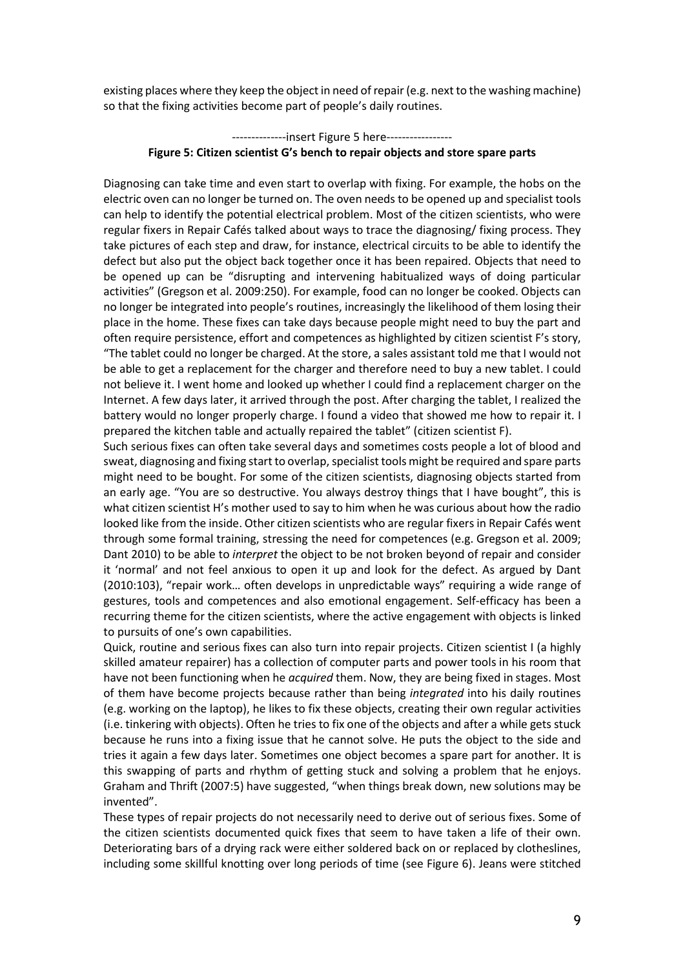existing places where they keep the object in need of repair (e.g. next to the washing machine) so that the fixing activities become part of people's daily routines.

# --------------insert Figure 5 here----------------- Figure 5: Citizen scientist G's bench to repair objects and store spare parts

Diagnosing can take time and even start to overlap with fixing. For example, the hobs on the electric oven can no longer be turned on. The oven needs to be opened up and specialist tools can help to identify the potential electrical problem. Most of the citizen scientists, who were regular fixers in Repair Cafés talked about ways to trace the diagnosing/ fixing process. They take pictures of each step and draw, for instance, electrical circuits to be able to identify the defect but also put the object back together once it has been repaired. Objects that need to be opened up can be "disrupting and intervening habitualized ways of doing particular activities" (Gregson et al. 2009:250). For example, food can no longer be cooked. Objects can no longer be integrated into people's routines, increasingly the likelihood of them losing their place in the home. These fixes can take days because people might need to buy the part and often require persistence, effort and competences as highlighted by citizen scientist F's story, "The tablet could no longer be charged. At the store, a sales assistant told me that I would not be able to get a replacement for the charger and therefore need to buy a new tablet. I could not believe it. I went home and looked up whether I could find a replacement charger on the Internet. A few days later, it arrived through the post. After charging the tablet, I realized the battery would no longer properly charge. I found a video that showed me how to repair it. I prepared the kitchen table and actually repaired the tablet" (citizen scientist F).

Such serious fixes can often take several days and sometimes costs people a lot of blood and sweat, diagnosing and fixing start to overlap, specialist tools might be required and spare parts might need to be bought. For some of the citizen scientists, diagnosing objects started from an early age. "You are so destructive. You always destroy things that I have bought", this is what citizen scientist H's mother used to say to him when he was curious about how the radio looked like from the inside. Other citizen scientists who are regular fixers in Repair Cafés went through some formal training, stressing the need for competences (e.g. Gregson et al. 2009; Dant 2010) to be able to interpret the object to be not broken beyond of repair and consider it 'normal' and not feel anxious to open it up and look for the defect. As argued by Dant (2010:103), "repair work… often develops in unpredictable ways" requiring a wide range of gestures, tools and competences and also emotional engagement. Self-efficacy has been a recurring theme for the citizen scientists, where the active engagement with objects is linked to pursuits of one's own capabilities.

Quick, routine and serious fixes can also turn into repair projects. Citizen scientist I (a highly skilled amateur repairer) has a collection of computer parts and power tools in his room that have not been functioning when he *acquired* them. Now, they are being fixed in stages. Most of them have become projects because rather than being integrated into his daily routines (e.g. working on the laptop), he likes to fix these objects, creating their own regular activities (i.e. tinkering with objects). Often he tries to fix one of the objects and after a while gets stuck because he runs into a fixing issue that he cannot solve. He puts the object to the side and tries it again a few days later. Sometimes one object becomes a spare part for another. It is this swapping of parts and rhythm of getting stuck and solving a problem that he enjoys. Graham and Thrift (2007:5) have suggested, "when things break down, new solutions may be invented".

These types of repair projects do not necessarily need to derive out of serious fixes. Some of the citizen scientists documented quick fixes that seem to have taken a life of their own. Deteriorating bars of a drying rack were either soldered back on or replaced by clotheslines, including some skillful knotting over long periods of time (see Figure 6). Jeans were stitched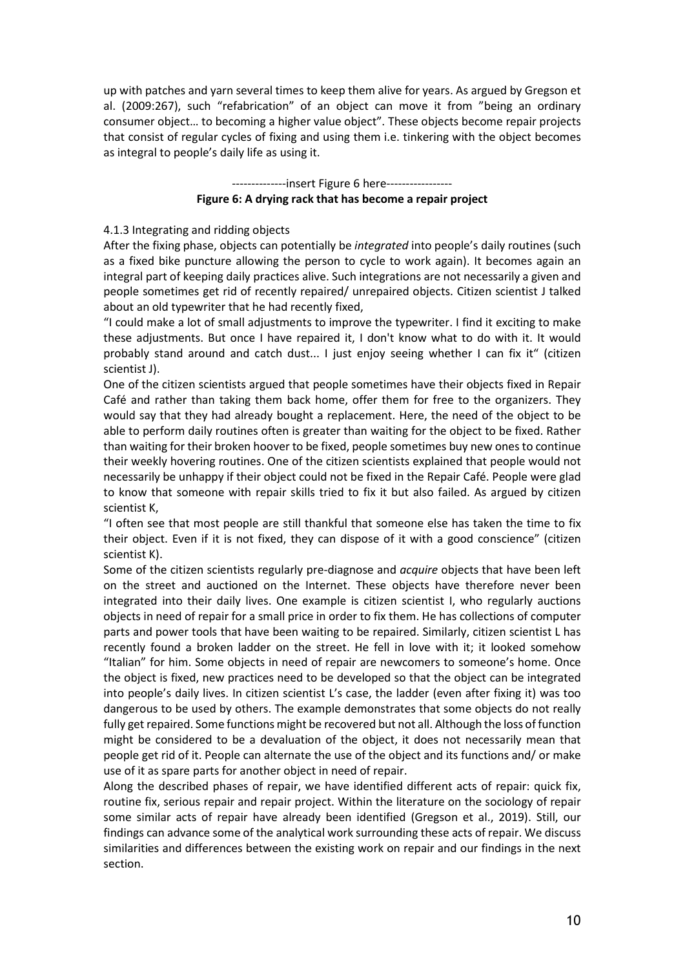up with patches and yarn several times to keep them alive for years. As argued by Gregson et al. (2009:267), such "refabrication" of an object can move it from "being an ordinary consumer object… to becoming a higher value object". These objects become repair projects that consist of regular cycles of fixing and using them i.e. tinkering with the object becomes as integral to people's daily life as using it.

### --------------insert Figure 6 here----------------- Figure 6: A drying rack that has become a repair project

# 4.1.3 Integrating and ridding objects

After the fixing phase, objects can potentially be *integrated* into people's daily routines (such as a fixed bike puncture allowing the person to cycle to work again). It becomes again an integral part of keeping daily practices alive. Such integrations are not necessarily a given and people sometimes get rid of recently repaired/ unrepaired objects. Citizen scientist J talked about an old typewriter that he had recently fixed,

"I could make a lot of small adjustments to improve the typewriter. I find it exciting to make these adjustments. But once I have repaired it, I don't know what to do with it. It would probably stand around and catch dust... I just enjoy seeing whether I can fix it" (citizen scientist J).

One of the citizen scientists argued that people sometimes have their objects fixed in Repair Café and rather than taking them back home, offer them for free to the organizers. They would say that they had already bought a replacement. Here, the need of the object to be able to perform daily routines often is greater than waiting for the object to be fixed. Rather than waiting for their broken hoover to be fixed, people sometimes buy new ones to continue their weekly hovering routines. One of the citizen scientists explained that people would not necessarily be unhappy if their object could not be fixed in the Repair Café. People were glad to know that someone with repair skills tried to fix it but also failed. As argued by citizen scientist K,

"I often see that most people are still thankful that someone else has taken the time to fix their object. Even if it is not fixed, they can dispose of it with a good conscience" (citizen scientist K).

Some of the citizen scientists regularly pre-diagnose and *acquire* objects that have been left on the street and auctioned on the Internet. These objects have therefore never been integrated into their daily lives. One example is citizen scientist I, who regularly auctions objects in need of repair for a small price in order to fix them. He has collections of computer parts and power tools that have been waiting to be repaired. Similarly, citizen scientist L has recently found a broken ladder on the street. He fell in love with it; it looked somehow "Italian" for him. Some objects in need of repair are newcomers to someone's home. Once the object is fixed, new practices need to be developed so that the object can be integrated into people's daily lives. In citizen scientist L's case, the ladder (even after fixing it) was too dangerous to be used by others. The example demonstrates that some objects do not really fully get repaired. Some functions might be recovered but not all. Although the loss of function might be considered to be a devaluation of the object, it does not necessarily mean that people get rid of it. People can alternate the use of the object and its functions and/ or make use of it as spare parts for another object in need of repair.

Along the described phases of repair, we have identified different acts of repair: quick fix, routine fix, serious repair and repair project. Within the literature on the sociology of repair some similar acts of repair have already been identified (Gregson et al., 2019). Still, our findings can advance some of the analytical work surrounding these acts of repair. We discuss similarities and differences between the existing work on repair and our findings in the next section.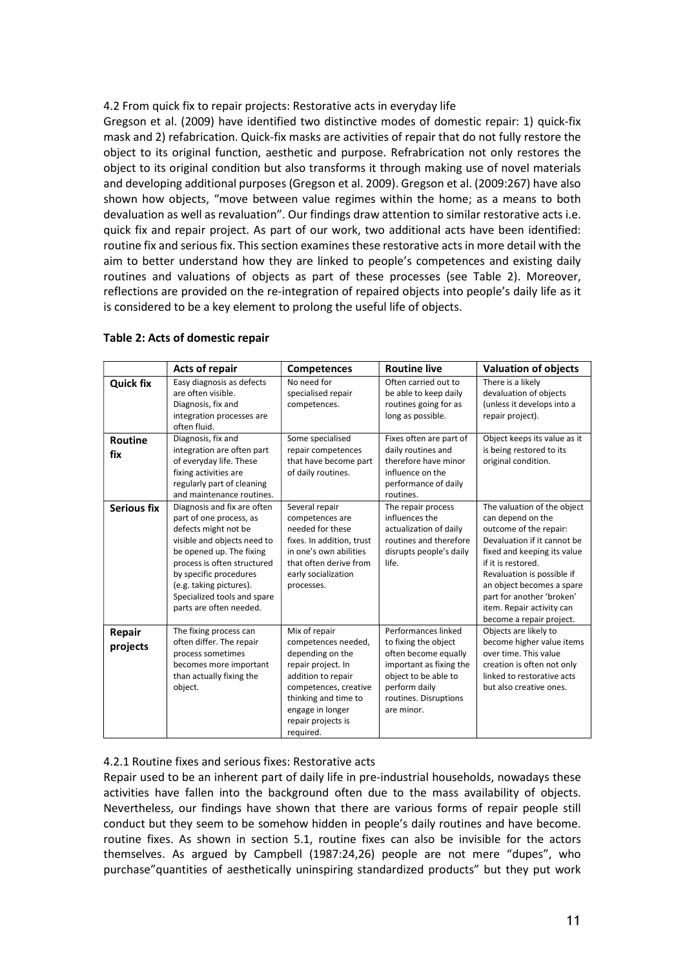## 4.2 From quick fix to repair projects: Restorative acts in everyday life

Gregson et al. (2009) have identified two distinctive modes of domestic repair: 1) quick-fix mask and 2) refabrication. Quick-fix masks are activities of repair that do not fully restore the object to its original function, aesthetic and purpose. Refrabrication not only restores the object to its original condition but also transforms it through making use of novel materials and developing additional purposes (Gregson et al. 2009). Gregson et al. (2009:267) have also shown how objects, "move between value regimes within the home; as a means to both devaluation as well as revaluation". Our findings draw attention to similar restorative acts i.e. quick fix and repair project. As part of our work, two additional acts have been identified: routine fix and serious fix. This section examines these restorative acts in more detail with the aim to better understand how they are linked to people's competences and existing daily routines and valuations of objects as part of these processes (see Table 2). Moreover, reflections are provided on the re-integration of repaired objects into people's daily life as it is considered to be a key element to prolong the useful life of objects.

|                       | <b>Acts of repair</b>                                                                                                                                                                                                                                                                   | <b>Competences</b>                                                                                                                                                                                           | <b>Routine live</b>                                                                                                                                                            | <b>Valuation of objects</b>                                                                                                                                                                                                                                                                                     |
|-----------------------|-----------------------------------------------------------------------------------------------------------------------------------------------------------------------------------------------------------------------------------------------------------------------------------------|--------------------------------------------------------------------------------------------------------------------------------------------------------------------------------------------------------------|--------------------------------------------------------------------------------------------------------------------------------------------------------------------------------|-----------------------------------------------------------------------------------------------------------------------------------------------------------------------------------------------------------------------------------------------------------------------------------------------------------------|
| <b>Quick fix</b>      | Easy diagnosis as defects<br>are often visible.<br>Diagnosis, fix and<br>integration processes are<br>often fluid.                                                                                                                                                                      | No need for<br>specialised repair<br>competences.                                                                                                                                                            | Often carried out to<br>be able to keep daily<br>routines going for as<br>long as possible.                                                                                    | There is a likely<br>devaluation of objects<br>(unless it develops into a<br>repair project).                                                                                                                                                                                                                   |
| <b>Routine</b><br>fix | Diagnosis, fix and<br>integration are often part<br>of everyday life. These<br>fixing activities are<br>regularly part of cleaning<br>and maintenance routines.                                                                                                                         | Some specialised<br>repair competences<br>that have become part<br>of daily routines.                                                                                                                        | Fixes often are part of<br>daily routines and<br>therefore have minor<br>influence on the<br>performance of daily<br>routines.                                                 | Object keeps its value as it<br>is being restored to its<br>original condition.                                                                                                                                                                                                                                 |
| <b>Serious fix</b>    | Diagnosis and fix are often<br>part of one process, as<br>defects might not be<br>visible and objects need to<br>be opened up. The fixing<br>process is often structured<br>by specific procedures<br>(e.g. taking pictures).<br>Specialized tools and spare<br>parts are often needed. | Several repair<br>competences are<br>needed for these<br>fixes. In addition, trust<br>in one's own abilities<br>that often derive from<br>early socialization<br>processes.                                  | The repair process<br>influences the<br>actualization of daily<br>routines and therefore<br>disrupts people's daily<br>life.                                                   | The valuation of the object<br>can depend on the<br>outcome of the repair:<br>Devaluation if it cannot be<br>fixed and keeping its value<br>if it is restored.<br>Revaluation is possible if<br>an object becomes a spare<br>part for another 'broken'<br>item. Repair activity can<br>become a repair project. |
| Repair<br>projects    | The fixing process can<br>often differ. The repair<br>process sometimes<br>becomes more important<br>than actually fixing the<br>object.                                                                                                                                                | Mix of repair<br>competences needed,<br>depending on the<br>repair project. In<br>addition to repair<br>competences, creative<br>thinking and time to<br>engage in longer<br>repair projects is<br>required. | Performances linked<br>to fixing the object<br>often become equally<br>important as fixing the<br>object to be able to<br>perform daily<br>routines. Disruptions<br>are minor. | Objects are likely to<br>become higher value items<br>over time. This value<br>creation is often not only<br>linked to restorative acts<br>but also creative ones.                                                                                                                                              |

#### Table 2: Acts of domestic repair

### 4.2.1 Routine fixes and serious fixes: Restorative acts

Repair used to be an inherent part of daily life in pre-industrial households, nowadays these activities have fallen into the background often due to the mass availability of objects. Nevertheless, our findings have shown that there are various forms of repair people still conduct but they seem to be somehow hidden in people's daily routines and have become. routine fixes. As shown in section 5.1, routine fixes can also be invisible for the actors themselves. As argued by Campbell (1987:24,26) people are not mere "dupes", who purchase"quantities of aesthetically uninspiring standardized products" but they put work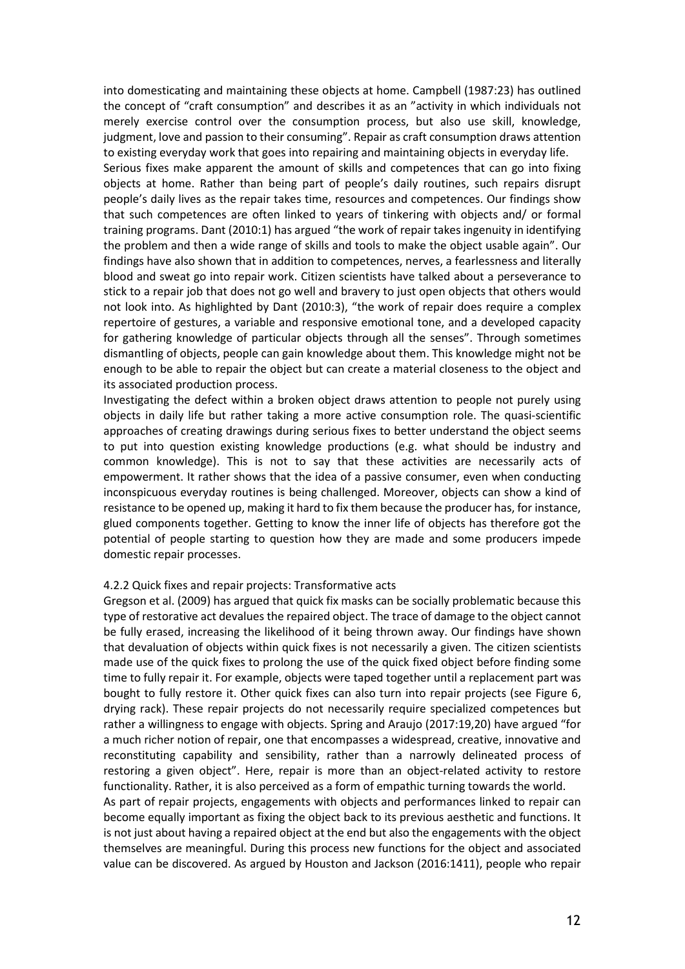into domesticating and maintaining these objects at home. Campbell (1987:23) has outlined the concept of "craft consumption" and describes it as an "activity in which individuals not merely exercise control over the consumption process, but also use skill, knowledge, judgment, love and passion to their consuming". Repair as craft consumption draws attention to existing everyday work that goes into repairing and maintaining objects in everyday life.

Serious fixes make apparent the amount of skills and competences that can go into fixing objects at home. Rather than being part of people's daily routines, such repairs disrupt people's daily lives as the repair takes time, resources and competences. Our findings show that such competences are often linked to years of tinkering with objects and/ or formal training programs. Dant (2010:1) has argued "the work of repair takes ingenuity in identifying the problem and then a wide range of skills and tools to make the object usable again". Our findings have also shown that in addition to competences, nerves, a fearlessness and literally blood and sweat go into repair work. Citizen scientists have talked about a perseverance to stick to a repair job that does not go well and bravery to just open objects that others would not look into. As highlighted by Dant (2010:3), "the work of repair does require a complex repertoire of gestures, a variable and responsive emotional tone, and a developed capacity for gathering knowledge of particular objects through all the senses". Through sometimes dismantling of objects, people can gain knowledge about them. This knowledge might not be enough to be able to repair the object but can create a material closeness to the object and its associated production process.

Investigating the defect within a broken object draws attention to people not purely using objects in daily life but rather taking a more active consumption role. The quasi-scientific approaches of creating drawings during serious fixes to better understand the object seems to put into question existing knowledge productions (e.g. what should be industry and common knowledge). This is not to say that these activities are necessarily acts of empowerment. It rather shows that the idea of a passive consumer, even when conducting inconspicuous everyday routines is being challenged. Moreover, objects can show a kind of resistance to be opened up, making it hard to fix them because the producer has, for instance, glued components together. Getting to know the inner life of objects has therefore got the potential of people starting to question how they are made and some producers impede domestic repair processes.

#### 4.2.2 Quick fixes and repair projects: Transformative acts

Gregson et al. (2009) has argued that quick fix masks can be socially problematic because this type of restorative act devalues the repaired object. The trace of damage to the object cannot be fully erased, increasing the likelihood of it being thrown away. Our findings have shown that devaluation of objects within quick fixes is not necessarily a given. The citizen scientists made use of the quick fixes to prolong the use of the quick fixed object before finding some time to fully repair it. For example, objects were taped together until a replacement part was bought to fully restore it. Other quick fixes can also turn into repair projects (see Figure 6, drying rack). These repair projects do not necessarily require specialized competences but rather a willingness to engage with objects. Spring and Araujo (2017:19,20) have argued "for a much richer notion of repair, one that encompasses a widespread, creative, innovative and reconstituting capability and sensibility, rather than a narrowly delineated process of restoring a given object". Here, repair is more than an object-related activity to restore functionality. Rather, it is also perceived as a form of empathic turning towards the world.

As part of repair projects, engagements with objects and performances linked to repair can become equally important as fixing the object back to its previous aesthetic and functions. It is not just about having a repaired object at the end but also the engagements with the object themselves are meaningful. During this process new functions for the object and associated value can be discovered. As argued by Houston and Jackson (2016:1411), people who repair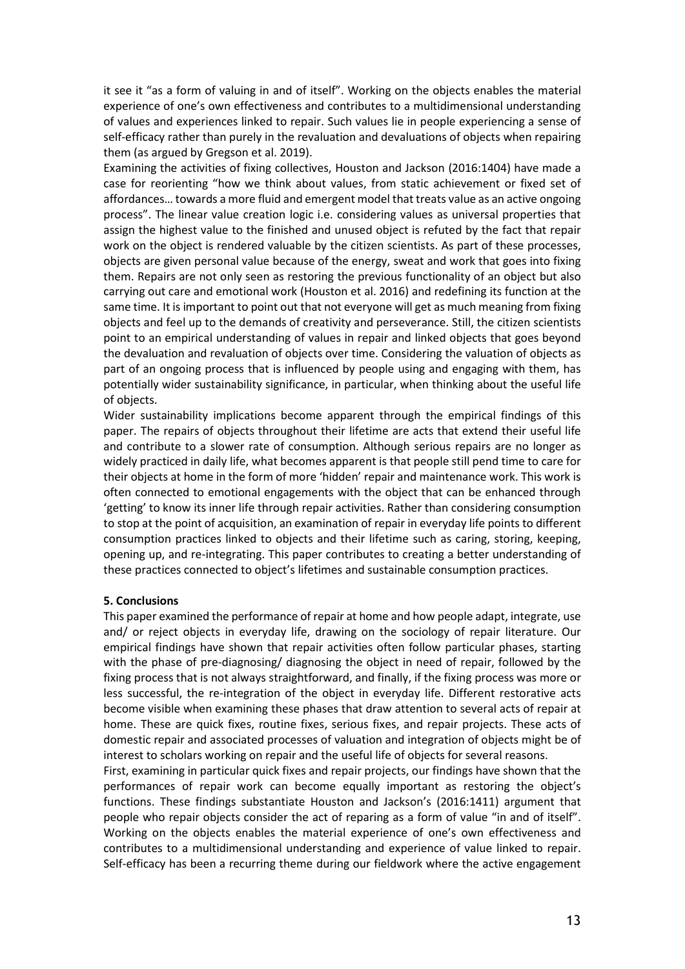it see it "as a form of valuing in and of itself". Working on the objects enables the material experience of one's own effectiveness and contributes to a multidimensional understanding of values and experiences linked to repair. Such values lie in people experiencing a sense of self-efficacy rather than purely in the revaluation and devaluations of objects when repairing them (as argued by Gregson et al. 2019).

Examining the activities of fixing collectives, Houston and Jackson (2016:1404) have made a case for reorienting "how we think about values, from static achievement or fixed set of affordances… towards a more fluid and emergent model that treats value as an active ongoing process". The linear value creation logic i.e. considering values as universal properties that assign the highest value to the finished and unused object is refuted by the fact that repair work on the object is rendered valuable by the citizen scientists. As part of these processes, objects are given personal value because of the energy, sweat and work that goes into fixing them. Repairs are not only seen as restoring the previous functionality of an object but also carrying out care and emotional work (Houston et al. 2016) and redefining its function at the same time. It is important to point out that not everyone will get as much meaning from fixing objects and feel up to the demands of creativity and perseverance. Still, the citizen scientists point to an empirical understanding of values in repair and linked objects that goes beyond the devaluation and revaluation of objects over time. Considering the valuation of objects as part of an ongoing process that is influenced by people using and engaging with them, has potentially wider sustainability significance, in particular, when thinking about the useful life of objects.

Wider sustainability implications become apparent through the empirical findings of this paper. The repairs of objects throughout their lifetime are acts that extend their useful life and contribute to a slower rate of consumption. Although serious repairs are no longer as widely practiced in daily life, what becomes apparent is that people still pend time to care for their objects at home in the form of more 'hidden' repair and maintenance work. This work is often connected to emotional engagements with the object that can be enhanced through 'getting' to know its inner life through repair activities. Rather than considering consumption to stop at the point of acquisition, an examination of repair in everyday life points to different consumption practices linked to objects and their lifetime such as caring, storing, keeping, opening up, and re-integrating. This paper contributes to creating a better understanding of these practices connected to object's lifetimes and sustainable consumption practices.

### 5. Conclusions

This paper examined the performance of repair at home and how people adapt, integrate, use and/ or reject objects in everyday life, drawing on the sociology of repair literature. Our empirical findings have shown that repair activities often follow particular phases, starting with the phase of pre-diagnosing/ diagnosing the object in need of repair, followed by the fixing process that is not always straightforward, and finally, if the fixing process was more or less successful, the re-integration of the object in everyday life. Different restorative acts become visible when examining these phases that draw attention to several acts of repair at home. These are quick fixes, routine fixes, serious fixes, and repair projects. These acts of domestic repair and associated processes of valuation and integration of objects might be of interest to scholars working on repair and the useful life of objects for several reasons.

First, examining in particular quick fixes and repair projects, our findings have shown that the performances of repair work can become equally important as restoring the object's functions. These findings substantiate Houston and Jackson's (2016:1411) argument that people who repair objects consider the act of reparing as a form of value "in and of itself". Working on the objects enables the material experience of one's own effectiveness and contributes to a multidimensional understanding and experience of value linked to repair. Self-efficacy has been a recurring theme during our fieldwork where the active engagement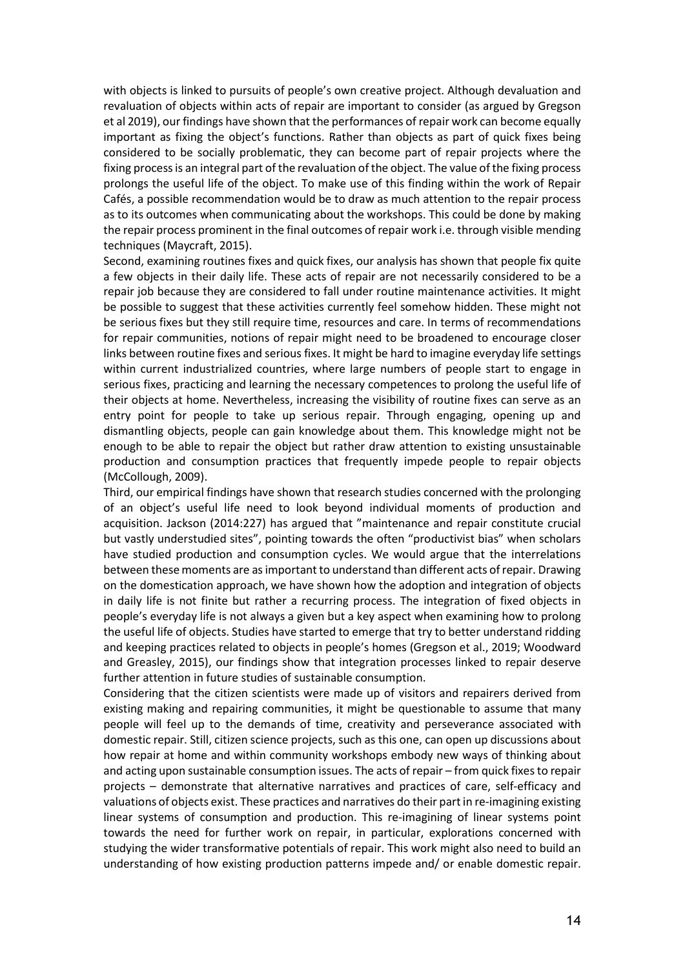with objects is linked to pursuits of people's own creative project. Although devaluation and revaluation of objects within acts of repair are important to consider (as argued by Gregson et al 2019), our findings have shown that the performances of repair work can become equally important as fixing the object's functions. Rather than objects as part of quick fixes being considered to be socially problematic, they can become part of repair projects where the fixing process is an integral part of the revaluation of the object. The value of the fixing process prolongs the useful life of the object. To make use of this finding within the work of Repair Cafés, a possible recommendation would be to draw as much attention to the repair process as to its outcomes when communicating about the workshops. This could be done by making the repair process prominent in the final outcomes of repair work i.e. through visible mending techniques (Maycraft, 2015).

Second, examining routines fixes and quick fixes, our analysis has shown that people fix quite a few objects in their daily life. These acts of repair are not necessarily considered to be a repair job because they are considered to fall under routine maintenance activities. It might be possible to suggest that these activities currently feel somehow hidden. These might not be serious fixes but they still require time, resources and care. In terms of recommendations for repair communities, notions of repair might need to be broadened to encourage closer links between routine fixes and serious fixes. It might be hard to imagine everyday life settings within current industrialized countries, where large numbers of people start to engage in serious fixes, practicing and learning the necessary competences to prolong the useful life of their objects at home. Nevertheless, increasing the visibility of routine fixes can serve as an entry point for people to take up serious repair. Through engaging, opening up and dismantling objects, people can gain knowledge about them. This knowledge might not be enough to be able to repair the object but rather draw attention to existing unsustainable production and consumption practices that frequently impede people to repair objects (McCollough, 2009).

Third, our empirical findings have shown that research studies concerned with the prolonging of an object's useful life need to look beyond individual moments of production and acquisition. Jackson (2014:227) has argued that "maintenance and repair constitute crucial but vastly understudied sites", pointing towards the often "productivist bias" when scholars have studied production and consumption cycles. We would argue that the interrelations between these moments are as important to understand than different acts of repair. Drawing on the domestication approach, we have shown how the adoption and integration of objects in daily life is not finite but rather a recurring process. The integration of fixed objects in people's everyday life is not always a given but a key aspect when examining how to prolong the useful life of objects. Studies have started to emerge that try to better understand ridding and keeping practices related to objects in people's homes (Gregson et al., 2019; Woodward and Greasley, 2015), our findings show that integration processes linked to repair deserve further attention in future studies of sustainable consumption.

Considering that the citizen scientists were made up of visitors and repairers derived from existing making and repairing communities, it might be questionable to assume that many people will feel up to the demands of time, creativity and perseverance associated with domestic repair. Still, citizen science projects, such as this one, can open up discussions about how repair at home and within community workshops embody new ways of thinking about and acting upon sustainable consumption issues. The acts of repair – from quick fixes to repair projects – demonstrate that alternative narratives and practices of care, self-efficacy and valuations of objects exist. These practices and narratives do their part in re-imagining existing linear systems of consumption and production. This re-imagining of linear systems point towards the need for further work on repair, in particular, explorations concerned with studying the wider transformative potentials of repair. This work might also need to build an understanding of how existing production patterns impede and/ or enable domestic repair.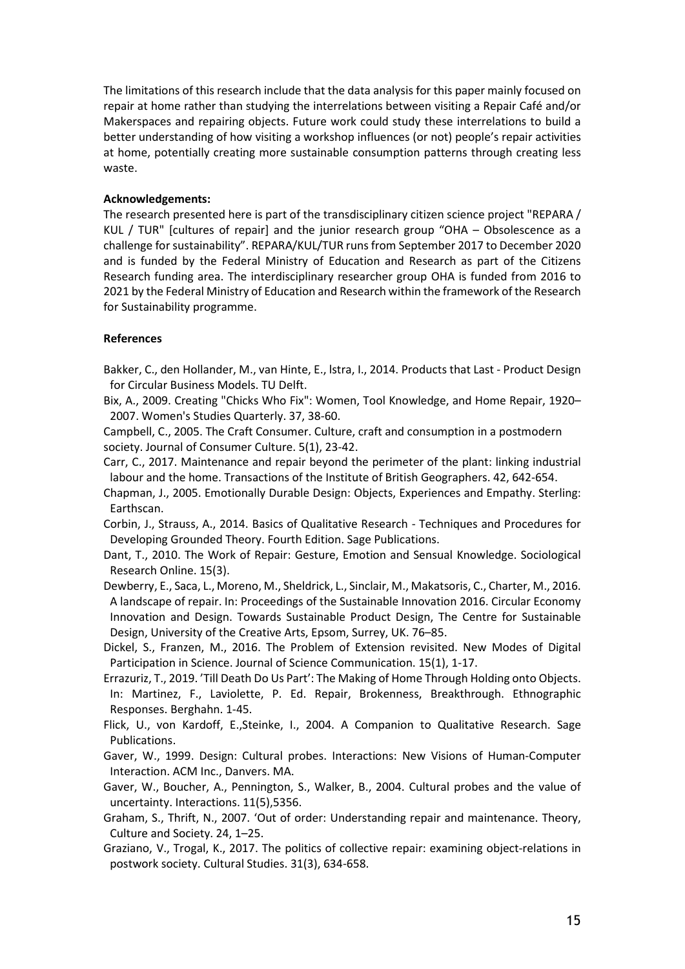The limitations of this research include that the data analysis for this paper mainly focused on repair at home rather than studying the interrelations between visiting a Repair Café and/or Makerspaces and repairing objects. Future work could study these interrelations to build a better understanding of how visiting a workshop influences (or not) people's repair activities at home, potentially creating more sustainable consumption patterns through creating less waste.

## Acknowledgements:

The research presented here is part of the transdisciplinary citizen science project "REPARA / KUL / TUR" [cultures of repair] and the junior research group "OHA – Obsolescence as a challenge for sustainability". REPARA/KUL/TUR runs from September 2017 to December 2020 and is funded by the Federal Ministry of Education and Research as part of the Citizens Research funding area. The interdisciplinary researcher group OHA is funded from 2016 to 2021 by the Federal Ministry of Education and Research within the framework of the Research for Sustainability programme.

# References

Bakker, C., den Hollander, M., van Hinte, E., lstra, I., 2014. Products that Last - Product Design for Circular Business Models. TU Delft.

Bix, A., 2009. Creating "Chicks Who Fix": Women, Tool Knowledge, and Home Repair, 1920– 2007. Women's Studies Quarterly. 37, 38-60.

Campbell, C., 2005. The Craft Consumer. Culture, craft and consumption in a postmodern society. Journal of Consumer Culture. 5(1), 23-42.

Carr, C., 2017. Maintenance and repair beyond the perimeter of the plant: linking industrial labour and the home. Transactions of the Institute of British Geographers. 42, 642-654.

Chapman, J., 2005. Emotionally Durable Design: Objects, Experiences and Empathy. Sterling: Earthscan.

Corbin, J., Strauss, A., 2014. Basics of Qualitative Research - Techniques and Procedures for Developing Grounded Theory. Fourth Edition. Sage Publications.

Dant, T., 2010. The Work of Repair: Gesture, Emotion and Sensual Knowledge. Sociological Research Online. 15(3).

Dewberry, E., Saca, L., Moreno, M., Sheldrick, L., Sinclair, M., Makatsoris, C., Charter, M., 2016. A landscape of repair. In: Proceedings of the Sustainable Innovation 2016. Circular Economy Innovation and Design. Towards Sustainable Product Design, The Centre for Sustainable Design, University of the Creative Arts, Epsom, Surrey, UK. 76–85.

Dickel, S., Franzen, M., 2016. The Problem of Extension revisited. New Modes of Digital Participation in Science. Journal of Science Communication. 15(1), 1-17.

Errazuriz, T., 2019. 'Till Death Do Us Part': The Making of Home Through Holding onto Objects. In: Martinez, F., Laviolette, P. Ed. Repair, Brokenness, Breakthrough. Ethnographic Responses. Berghahn. 1-45.

Flick, U., von Kardoff, E.,Steinke, I., 2004. A Companion to Qualitative Research. Sage Publications.

Gaver, W., 1999. Design: Cultural probes. Interactions: New Visions of Human-Computer Interaction. ACM Inc., Danvers. MA.

Gaver, W., Boucher, A., Pennington, S., Walker, B., 2004. Cultural probes and the value of uncertainty. Interactions. 11(5),5356.

Graham, S., Thrift, N., 2007. 'Out of order: Understanding repair and maintenance. Theory, Culture and Society. 24, 1–25.

Graziano, V., Trogal, K., 2017. The politics of collective repair: examining object-relations in postwork society. Cultural Studies. 31(3), 634-658.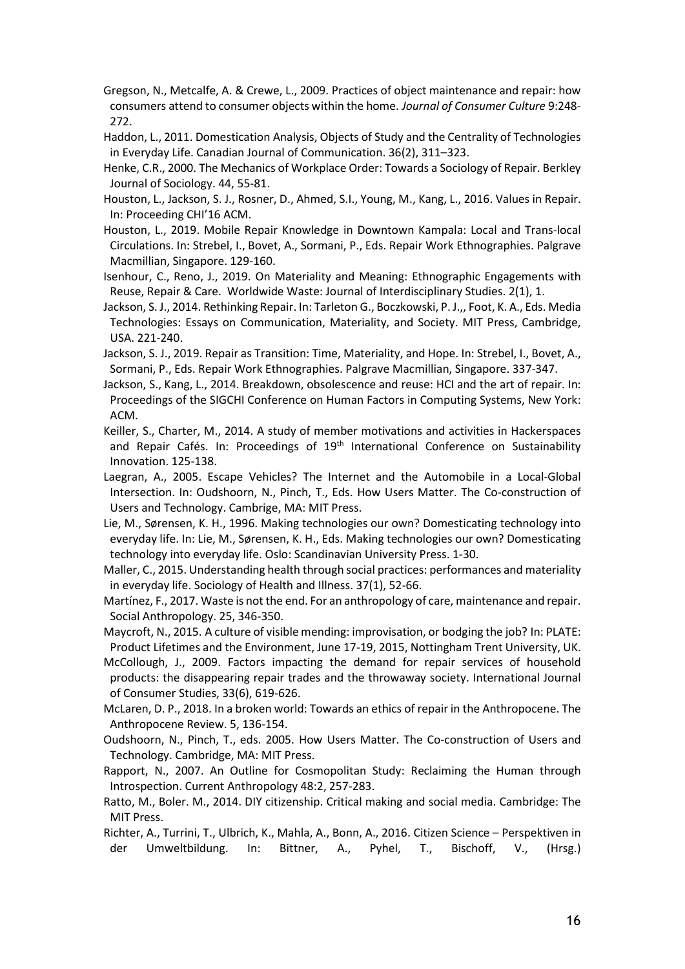- Gregson, N., Metcalfe, A. & Crewe, L., 2009. Practices of object maintenance and repair: how consumers attend to consumer objects within the home. Journal of Consumer Culture 9:248- 272.
- Haddon, L., 2011. Domestication Analysis, Objects of Study and the Centrality of Technologies in Everyday Life. Canadian Journal of Communication. 36(2), 311–323.
- Henke, C.R., 2000. The Mechanics of Workplace Order: Towards a Sociology of Repair. Berkley Journal of Sociology. 44, 55-81.
- Houston, L., Jackson, S. J., Rosner, D., Ahmed, S.I., Young, M., Kang, L., 2016. Values in Repair. In: Proceeding CHI'16 ACM.
- Houston, L., 2019. Mobile Repair Knowledge in Downtown Kampala: Local and Trans-local Circulations. In: Strebel, I., Bovet, A., Sormani, P., Eds. Repair Work Ethnographies. Palgrave Macmillian, Singapore. 129-160.
- Isenhour, C., Reno, J., 2019. On Materiality and Meaning: Ethnographic Engagements with Reuse, Repair & Care. Worldwide Waste: Journal of Interdisciplinary Studies. 2(1), 1.
- Jackson, S. J., 2014. Rethinking Repair. In: Tarleton G., Boczkowski, P. J.,, Foot, K. A., Eds. Media Technologies: Essays on Communication, Materiality, and Society. MIT Press, Cambridge, USA. 221-240.
- Jackson, S. J., 2019. Repair as Transition: Time, Materiality, and Hope. In: Strebel, I., Bovet, A., Sormani, P., Eds. Repair Work Ethnographies. Palgrave Macmillian, Singapore. 337-347.
- Jackson, S., Kang, L., 2014. Breakdown, obsolescence and reuse: HCI and the art of repair. In: Proceedings of the SIGCHI Conference on Human Factors in Computing Systems, New York: ACM.
- Keiller, S., Charter, M., 2014. A study of member motivations and activities in Hackerspaces and Repair Cafés. In: Proceedings of 19<sup>th</sup> International Conference on Sustainability Innovation. 125-138.
- Laegran, A., 2005. Escape Vehicles? The Internet and the Automobile in a Local-Global Intersection. In: Oudshoorn, N., Pinch, T., Eds. How Users Matter. The Co-construction of Users and Technology. Cambrige, MA: MIT Press.
- Lie, M., Sørensen, K. H., 1996. Making technologies our own? Domesticating technology into everyday life. In: Lie, M., Sørensen, K. H., Eds. Making technologies our own? Domesticating technology into everyday life. Oslo: Scandinavian University Press. 1-30.
- Maller, C., 2015. Understanding health through social practices: performances and materiality in everyday life. Sociology of Health and Illness. 37(1), 52-66.
- Martínez, F., 2017. Waste is not the end. For an anthropology of care, maintenance and repair. Social Anthropology. 25, 346-350.
- Maycroft, N., 2015. A culture of visible mending: improvisation, or bodging the job? In: PLATE: Product Lifetimes and the Environment, June 17-19, 2015, Nottingham Trent University, UK.
- McCollough, J., 2009. Factors impacting the demand for repair services of household products: the disappearing repair trades and the throwaway society. International Journal of Consumer Studies, 33(6), 619-626.
- McLaren, D. P., 2018. In a broken world: Towards an ethics of repair in the Anthropocene. The Anthropocene Review. 5, 136-154.
- Oudshoorn, N., Pinch, T., eds. 2005. How Users Matter. The Co-construction of Users and Technology. Cambridge, MA: MIT Press.
- Rapport, N., 2007. An Outline for Cosmopolitan Study: Reclaiming the Human through Introspection. Current Anthropology 48:2, 257-283.
- Ratto, M., Boler. M., 2014. DIY citizenship. Critical making and social media. Cambridge: The MIT Press.
- Richter, A., Turrini, T., Ulbrich, K., Mahla, A., Bonn, A., 2016. Citizen Science Perspektiven in der Umweltbildung. In: Bittner, A., Pyhel, T., Bischoff, V., (Hrsg.)